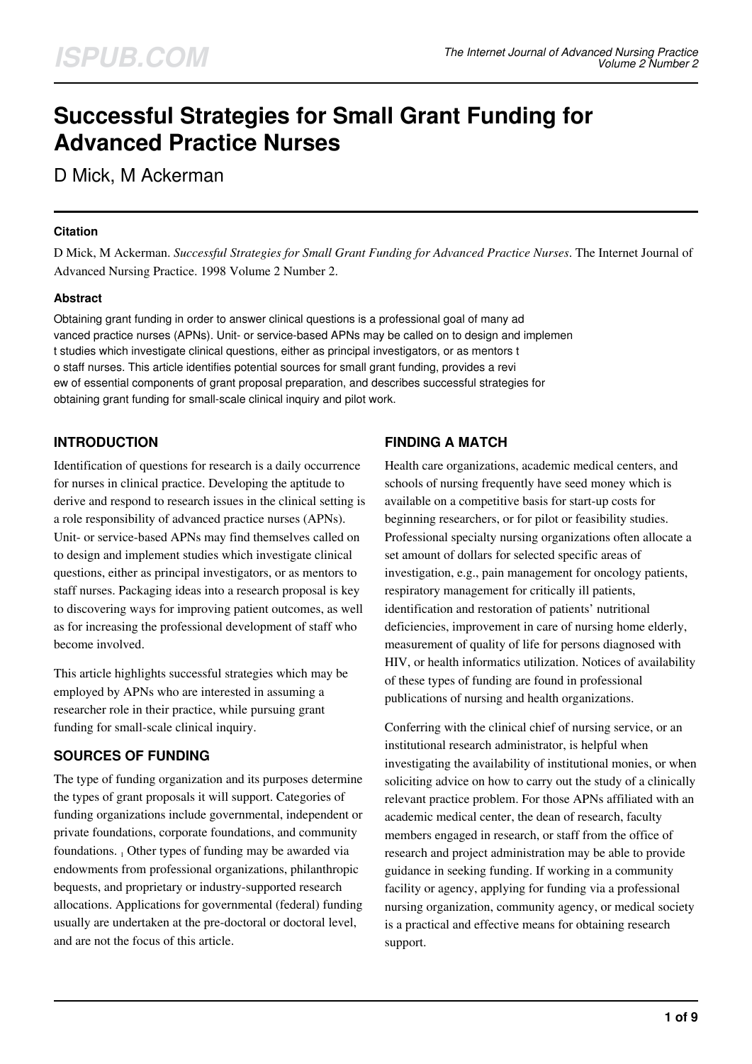# **Successful Strategies for Small Grant Funding for Advanced Practice Nurses**

D Mick, M Ackerman

## **Citation**

D Mick, M Ackerman. *Successful Strategies for Small Grant Funding for Advanced Practice Nurses*. The Internet Journal of Advanced Nursing Practice. 1998 Volume 2 Number 2.

# **Abstract**

Obtaining grant funding in order to answer clinical questions is a professional goal of many ad vanced practice nurses (APNs). Unit- or service-based APNs may be called on to design and implemen t studies which investigate clinical questions, either as principal investigators, or as mentors t o staff nurses. This article identifies potential sources for small grant funding, provides a revi ew of essential components of grant proposal preparation, and describes successful strategies for obtaining grant funding for small-scale clinical inquiry and pilot work.

# **INTRODUCTION**

Identification of questions for research is a daily occurrence for nurses in clinical practice. Developing the aptitude to derive and respond to research issues in the clinical setting is a role responsibility of advanced practice nurses (APNs). Unit- or service-based APNs may find themselves called on to design and implement studies which investigate clinical questions, either as principal investigators, or as mentors to staff nurses. Packaging ideas into a research proposal is key to discovering ways for improving patient outcomes, as well as for increasing the professional development of staff who become involved.

This article highlights successful strategies which may be employed by APNs who are interested in assuming a researcher role in their practice, while pursuing grant funding for small-scale clinical inquiry.

# **SOURCES OF FUNDING**

The type of funding organization and its purposes determine the types of grant proposals it will support. Categories of funding organizations include governmental, independent or private foundations, corporate foundations, and community foundations. 1 Other types of funding may be awarded via endowments from professional organizations, philanthropic bequests, and proprietary or industry-supported research allocations. Applications for governmental (federal) funding usually are undertaken at the pre-doctoral or doctoral level, and are not the focus of this article.

# **FINDING A MATCH**

Health care organizations, academic medical centers, and schools of nursing frequently have seed money which is available on a competitive basis for start-up costs for beginning researchers, or for pilot or feasibility studies. Professional specialty nursing organizations often allocate a set amount of dollars for selected specific areas of investigation, e.g., pain management for oncology patients, respiratory management for critically ill patients, identification and restoration of patients' nutritional deficiencies, improvement in care of nursing home elderly, measurement of quality of life for persons diagnosed with HIV, or health informatics utilization. Notices of availability of these types of funding are found in professional publications of nursing and health organizations.

Conferring with the clinical chief of nursing service, or an institutional research administrator, is helpful when investigating the availability of institutional monies, or when soliciting advice on how to carry out the study of a clinically relevant practice problem. For those APNs affiliated with an academic medical center, the dean of research, faculty members engaged in research, or staff from the office of research and project administration may be able to provide guidance in seeking funding. If working in a community facility or agency, applying for funding via a professional nursing organization, community agency, or medical society is a practical and effective means for obtaining research support.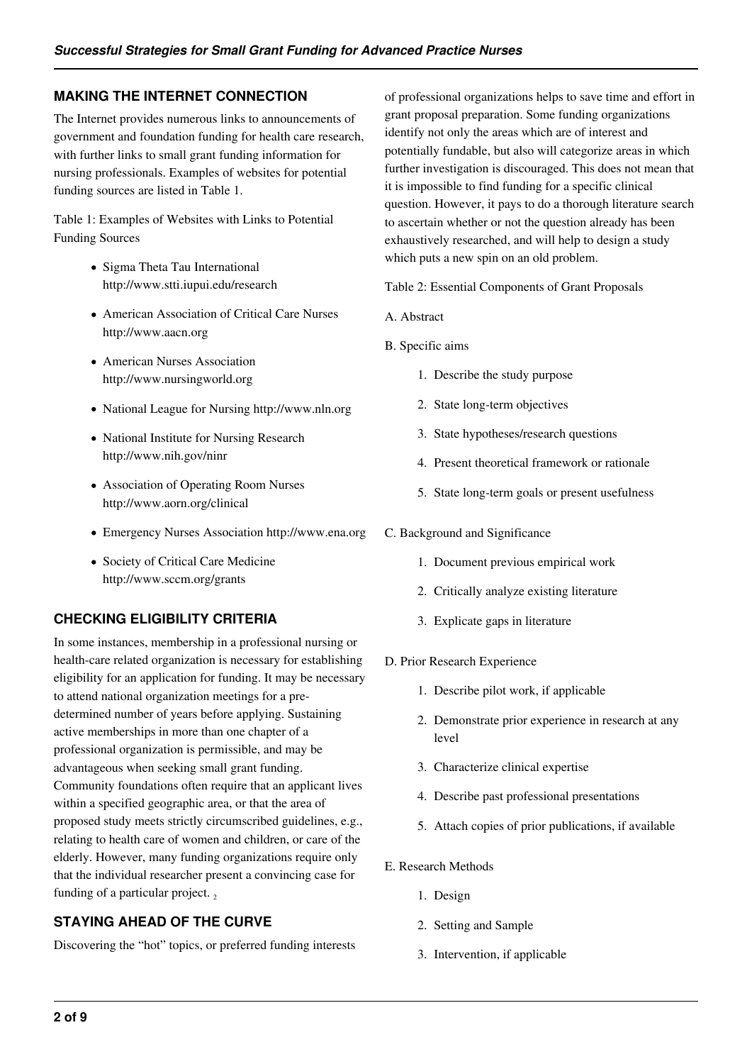# **MAKING THE INTERNET CONNECTION**

The Internet provides numerous links to announcements of government and foundation funding for health care research, with further links to small grant funding information for nursing professionals. Examples of websites for potential funding sources are listed in Table 1.

Table 1: Examples of Websites with Links to Potential Funding Sources

- Sigma Theta Tau International http://www.stti.iupui.edu/research
- American Association of Critical Care Nurses http://www.aacn.org
- American Nurses Association http://www.nursingworld.org
- National League for Nursing http://www.nln.org
- National Institute for Nursing Research http://www.nih.gov/ninr
- Association of Operating Room Nurses http://www.aorn.org/clinical
- Emergency Nurses Association http://www.ena.org
- Society of Critical Care Medicine http://www.sccm.org/grants

# **CHECKING ELIGIBILITY CRITERIA**

In some instances, membership in a professional nursing or health-care related organization is necessary for establishing eligibility for an application for funding. It may be necessary to attend national organization meetings for a predetermined number of years before applying. Sustaining active memberships in more than one chapter of a professional organization is permissible, and may be advantageous when seeking small grant funding. Community foundations often require that an applicant lives within a specified geographic area, or that the area of proposed study meets strictly circumscribed guidelines, e.g., relating to health care of women and children, or care of the elderly. However, many funding organizations require only that the individual researcher present a convincing case for funding of a particular project.

# **STAYING AHEAD OF THE CURVE**

Discovering the "hot" topics, or preferred funding interests

of professional organizations helps to save time and effort in grant proposal preparation. Some funding organizations identify not only the areas which are of interest and potentially fundable, but also will categorize areas in which further investigation is discouraged. This does not mean that it is impossible to find funding for a specific clinical question. However, it pays to do a thorough literature search to ascertain whether or not the question already has been exhaustively researched, and will help to design a study which puts a new spin on an old problem.

Table 2: Essential Components of Grant Proposals

- A. Abstract
- B. Specific aims
	- 1. Describe the study purpose
	- 2. State long-term objectives
	- 3. State hypotheses/research questions
	- 4. Present theoretical framework or rationale
	- 5. State long-term goals or present usefulness
- C. Background and Significance
	- 1. Document previous empirical work
	- 2. Critically analyze existing literature
	- 3. Explicate gaps in literature
- D. Prior Research Experience
	- 1. Describe pilot work, if applicable
	- 2. Demonstrate prior experience in research at any level
	- 3. Characterize clinical expertise
	- 4. Describe past professional presentations
	- 5. Attach copies of prior publications, if available
- E. Research Methods
	- 1. Design
	- 2. Setting and Sample
	- 3. Intervention, if applicable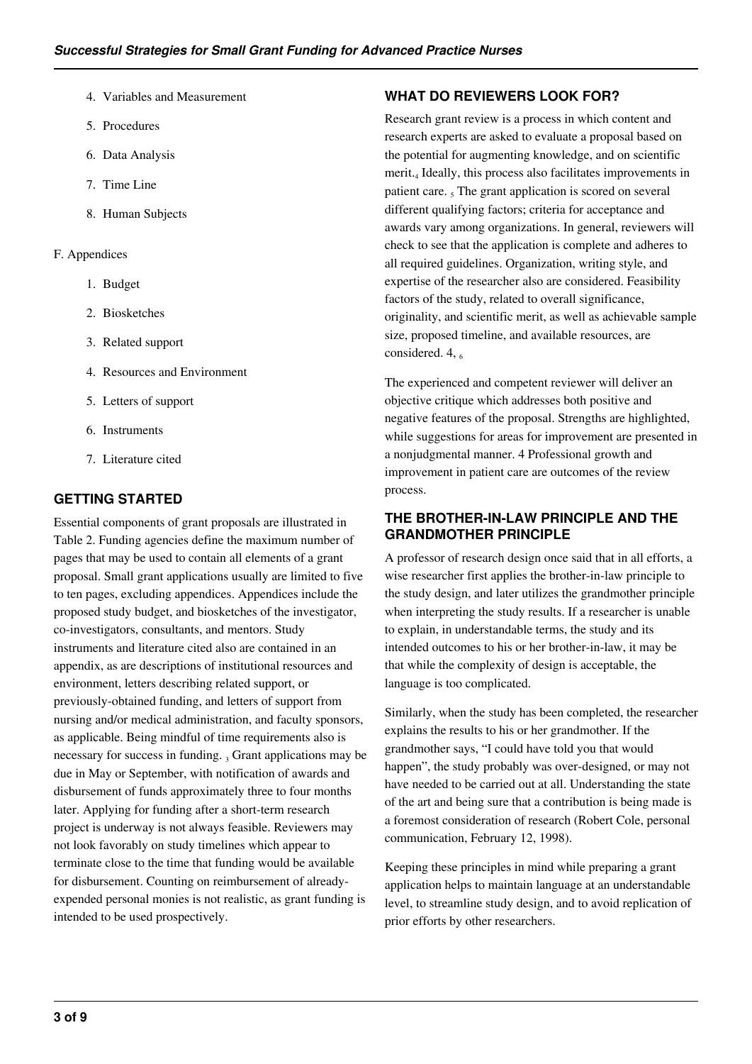- 4. Variables and Measurement
- 5. Procedures
- 6. Data Analysis
- 7. Time Line
- 8. Human Subjects

#### F. Appendices

- 1. Budget
- 2. Biosketches
- 3. Related support
- 4. Resources and Environment
- 5. Letters of support
- 6. Instruments
- 7. Literature cited

#### **GETTING STARTED**

Essential components of grant proposals are illustrated in Table 2. Funding agencies define the maximum number of pages that may be used to contain all elements of a grant proposal. Small grant applications usually are limited to five to ten pages, excluding appendices. Appendices include the proposed study budget, and biosketches of the investigator, co-investigators, consultants, and mentors. Study instruments and literature cited also are contained in an appendix, as are descriptions of institutional resources and environment, letters describing related support, or previously-obtained funding, and letters of support from nursing and/or medical administration, and faculty sponsors, as applicable. Being mindful of time requirements also is necessary for success in funding.  $_3$  Grant applications may be due in May or September, with notification of awards and disbursement of funds approximately three to four months later. Applying for funding after a short-term research project is underway is not always feasible. Reviewers may not look favorably on study timelines which appear to terminate close to the time that funding would be available for disbursement. Counting on reimbursement of alreadyexpended personal monies is not realistic, as grant funding is intended to be used prospectively.

#### **WHAT DO REVIEWERS LOOK FOR?**

Research grant review is a process in which content and research experts are asked to evaluate a proposal based on the potential for augmenting knowledge, and on scientific merit.<sup>4</sup> Ideally, this process also facilitates improvements in patient care.  $<sub>5</sub>$  The grant application is scored on several</sub> different qualifying factors; criteria for acceptance and awards vary among organizations. In general, reviewers will check to see that the application is complete and adheres to all required guidelines. Organization, writing style, and expertise of the researcher also are considered. Feasibility factors of the study, related to overall significance, originality, and scientific merit, as well as achievable sample size, proposed timeline, and available resources, are considered.  $4, 6$ 

The experienced and competent reviewer will deliver an objective critique which addresses both positive and negative features of the proposal. Strengths are highlighted, while suggestions for areas for improvement are presented in a nonjudgmental manner. 4 Professional growth and improvement in patient care are outcomes of the review process.

## **THE BROTHER-IN-LAW PRINCIPLE AND THE GRANDMOTHER PRINCIPLE**

A professor of research design once said that in all efforts, a wise researcher first applies the brother-in-law principle to the study design, and later utilizes the grandmother principle when interpreting the study results. If a researcher is unable to explain, in understandable terms, the study and its intended outcomes to his or her brother-in-law, it may be that while the complexity of design is acceptable, the language is too complicated.

Similarly, when the study has been completed, the researcher explains the results to his or her grandmother. If the grandmother says, "I could have told you that would happen", the study probably was over-designed, or may not have needed to be carried out at all. Understanding the state of the art and being sure that a contribution is being made is a foremost consideration of research (Robert Cole, personal communication, February 12, 1998).

Keeping these principles in mind while preparing a grant application helps to maintain language at an understandable level, to streamline study design, and to avoid replication of prior efforts by other researchers.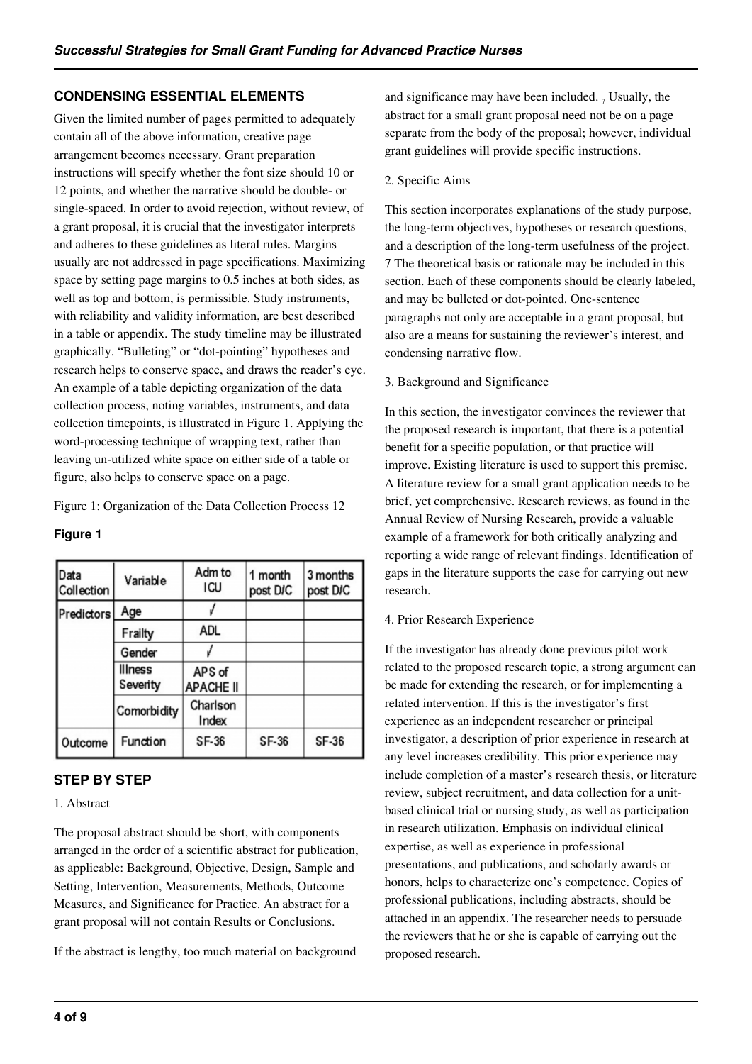# **CONDENSING ESSENTIAL ELEMENTS**

Given the limited number of pages permitted to adequately contain all of the above information, creative page arrangement becomes necessary. Grant preparation instructions will specify whether the font size should 10 or 12 points, and whether the narrative should be double- or single-spaced. In order to avoid rejection, without review, of a grant proposal, it is crucial that the investigator interprets and adheres to these guidelines as literal rules. Margins usually are not addressed in page specifications. Maximizing space by setting page margins to 0.5 inches at both sides, as well as top and bottom, is permissible. Study instruments, with reliability and validity information, are best described in a table or appendix. The study timeline may be illustrated graphically. "Bulleting" or "dot-pointing" hypotheses and research helps to conserve space, and draws the reader's eye. An example of a table depicting organization of the data collection process, noting variables, instruments, and data collection timepoints, is illustrated in Figure 1. Applying the word-processing technique of wrapping text, rather than leaving un-utilized white space on either side of a table or figure, also helps to conserve space on a page.

Figure 1: Organization of the Data Collection Process 12

#### **Figure 1**

| Data<br>Collection | Variable                   | Adm to<br>ICU              | 1 month<br>post DIC | 3 months<br>post DIC |
|--------------------|----------------------------|----------------------------|---------------------|----------------------|
| Predictors         | Age                        |                            |                     |                      |
|                    | Frailty                    | <b>ADL</b>                 |                     |                      |
|                    | Gender                     |                            |                     |                      |
|                    | <b>Illness</b><br>Severity | APS of<br><b>APACHE II</b> |                     |                      |
|                    | <b>Comorbidity</b>         | Charlson<br>Index          |                     |                      |
| Outcome            | Function                   | SF-36                      | SF-36               | SF-36                |

# **STEP BY STEP**

#### 1. Abstract

The proposal abstract should be short, with components arranged in the order of a scientific abstract for publication, as applicable: Background, Objective, Design, Sample and Setting, Intervention, Measurements, Methods, Outcome Measures, and Significance for Practice. An abstract for a grant proposal will not contain Results or Conclusions.

If the abstract is lengthy, too much material on background

and significance may have been included.  $<sub>7</sub>$  Usually, the</sub> abstract for a small grant proposal need not be on a page separate from the body of the proposal; however, individual grant guidelines will provide specific instructions.

#### 2. Specific Aims

This section incorporates explanations of the study purpose, the long-term objectives, hypotheses or research questions, and a description of the long-term usefulness of the project. 7 The theoretical basis or rationale may be included in this section. Each of these components should be clearly labeled, and may be bulleted or dot-pointed. One-sentence paragraphs not only are acceptable in a grant proposal, but also are a means for sustaining the reviewer's interest, and condensing narrative flow.

#### 3. Background and Significance

In this section, the investigator convinces the reviewer that the proposed research is important, that there is a potential benefit for a specific population, or that practice will improve. Existing literature is used to support this premise. A literature review for a small grant application needs to be brief, yet comprehensive. Research reviews, as found in the Annual Review of Nursing Research, provide a valuable example of a framework for both critically analyzing and reporting a wide range of relevant findings. Identification of gaps in the literature supports the case for carrying out new research.

#### 4. Prior Research Experience

If the investigator has already done previous pilot work related to the proposed research topic, a strong argument can be made for extending the research, or for implementing a related intervention. If this is the investigator's first experience as an independent researcher or principal investigator, a description of prior experience in research at any level increases credibility. This prior experience may include completion of a master's research thesis, or literature review, subject recruitment, and data collection for a unitbased clinical trial or nursing study, as well as participation in research utilization. Emphasis on individual clinical expertise, as well as experience in professional presentations, and publications, and scholarly awards or honors, helps to characterize one's competence. Copies of professional publications, including abstracts, should be attached in an appendix. The researcher needs to persuade the reviewers that he or she is capable of carrying out the proposed research.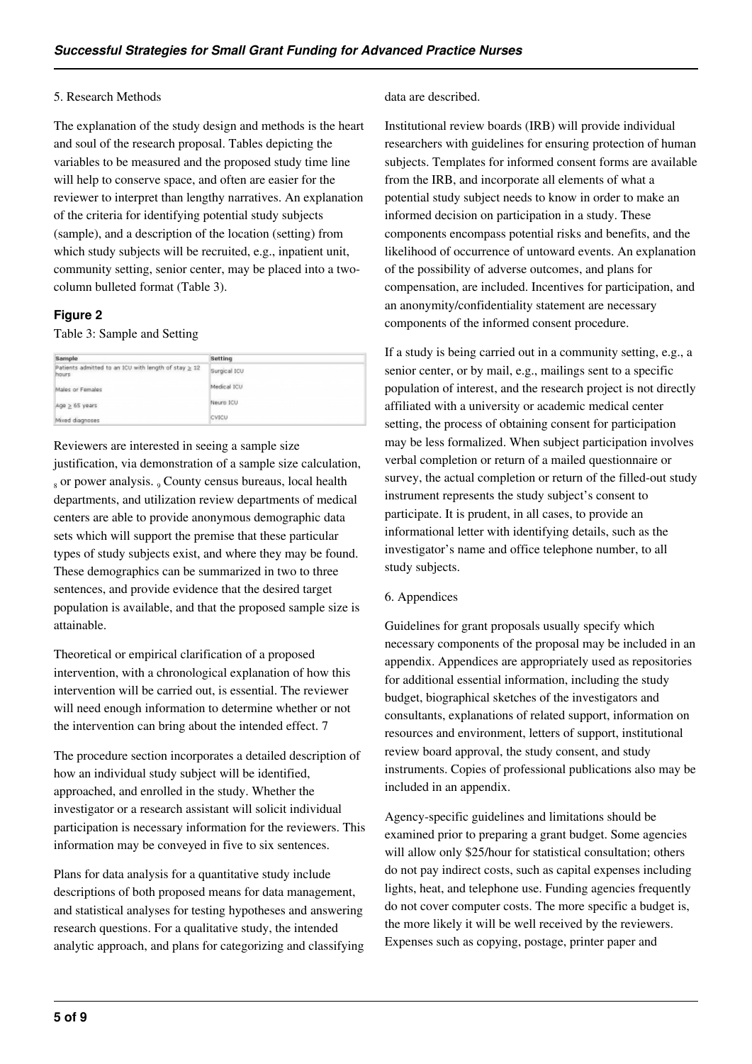#### 5. Research Methods

The explanation of the study design and methods is the heart and soul of the research proposal. Tables depicting the variables to be measured and the proposed study time line will help to conserve space, and often are easier for the reviewer to interpret than lengthy narratives. An explanation of the criteria for identifying potential study subjects (sample), and a description of the location (setting) from which study subjects will be recruited, e.g., inpatient unit, community setting, senior center, may be placed into a twocolumn bulleted format (Table 3).

#### **Figure 2**

#### Table 3: Sample and Setting

| Sample                                                              | Setting      |
|---------------------------------------------------------------------|--------------|
| Patients admitted to an ICU with length of stay $\geq 12$<br>hours. | Surgical ICU |
| Males or Females                                                    | Medical ICU  |
| $Age \geq 65 \text{ years}$                                         | Neuro ICU    |
| Mixed diagnoses                                                     | CVICU        |

Reviewers are interested in seeing a sample size justification, via demonstration of a sample size calculation, <sub>8</sub> or power analysis. <sub>9</sub> County census bureaus, local health departments, and utilization review departments of medical centers are able to provide anonymous demographic data sets which will support the premise that these particular types of study subjects exist, and where they may be found. These demographics can be summarized in two to three sentences, and provide evidence that the desired target population is available, and that the proposed sample size is attainable.

Theoretical or empirical clarification of a proposed intervention, with a chronological explanation of how this intervention will be carried out, is essential. The reviewer will need enough information to determine whether or not the intervention can bring about the intended effect. 7

The procedure section incorporates a detailed description of how an individual study subject will be identified, approached, and enrolled in the study. Whether the investigator or a research assistant will solicit individual participation is necessary information for the reviewers. This information may be conveyed in five to six sentences.

Plans for data analysis for a quantitative study include descriptions of both proposed means for data management, and statistical analyses for testing hypotheses and answering research questions. For a qualitative study, the intended analytic approach, and plans for categorizing and classifying

#### data are described.

Institutional review boards (IRB) will provide individual researchers with guidelines for ensuring protection of human subjects. Templates for informed consent forms are available from the IRB, and incorporate all elements of what a potential study subject needs to know in order to make an informed decision on participation in a study. These components encompass potential risks and benefits, and the likelihood of occurrence of untoward events. An explanation of the possibility of adverse outcomes, and plans for compensation, are included. Incentives for participation, and an anonymity/confidentiality statement are necessary components of the informed consent procedure.

If a study is being carried out in a community setting, e.g., a senior center, or by mail, e.g., mailings sent to a specific population of interest, and the research project is not directly affiliated with a university or academic medical center setting, the process of obtaining consent for participation may be less formalized. When subject participation involves verbal completion or return of a mailed questionnaire or survey, the actual completion or return of the filled-out study instrument represents the study subject's consent to participate. It is prudent, in all cases, to provide an informational letter with identifying details, such as the investigator's name and office telephone number, to all study subjects.

#### 6. Appendices

Guidelines for grant proposals usually specify which necessary components of the proposal may be included in an appendix. Appendices are appropriately used as repositories for additional essential information, including the study budget, biographical sketches of the investigators and consultants, explanations of related support, information on resources and environment, letters of support, institutional review board approval, the study consent, and study instruments. Copies of professional publications also may be included in an appendix.

Agency-specific guidelines and limitations should be examined prior to preparing a grant budget. Some agencies will allow only \$25/hour for statistical consultation; others do not pay indirect costs, such as capital expenses including lights, heat, and telephone use. Funding agencies frequently do not cover computer costs. The more specific a budget is, the more likely it will be well received by the reviewers. Expenses such as copying, postage, printer paper and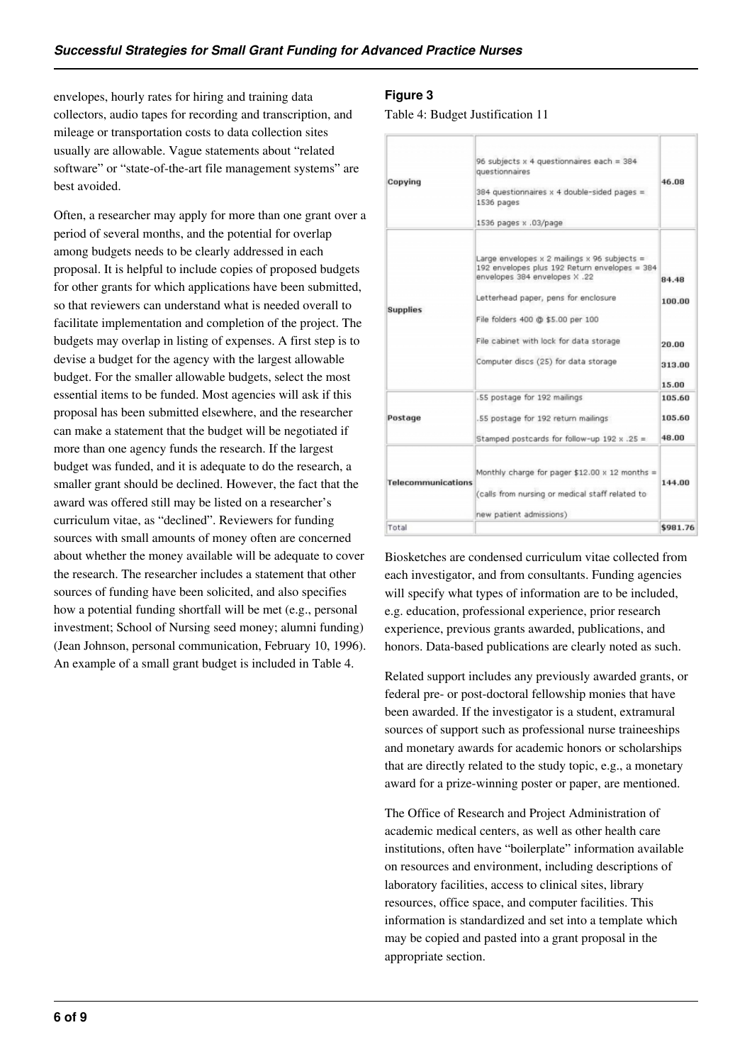envelopes, hourly rates for hiring and training data collectors, audio tapes for recording and transcription, and mileage or transportation costs to data collection sites usually are allowable. Vague statements about "related software" or "state-of-the-art file management systems" are best avoided.

Often, a researcher may apply for more than one grant over a period of several months, and the potential for overlap among budgets needs to be clearly addressed in each proposal. It is helpful to include copies of proposed budgets for other grants for which applications have been submitted, so that reviewers can understand what is needed overall to facilitate implementation and completion of the project. The budgets may overlap in listing of expenses. A first step is to devise a budget for the agency with the largest allowable budget. For the smaller allowable budgets, select the most essential items to be funded. Most agencies will ask if this proposal has been submitted elsewhere, and the researcher can make a statement that the budget will be negotiated if more than one agency funds the research. If the largest budget was funded, and it is adequate to do the research, a smaller grant should be declined. However, the fact that the award was offered still may be listed on a researcher's curriculum vitae, as "declined". Reviewers for funding sources with small amounts of money often are concerned about whether the money available will be adequate to cover the research. The researcher includes a statement that other sources of funding have been solicited, and also specifies how a potential funding shortfall will be met (e.g., personal investment; School of Nursing seed money; alumni funding) (Jean Johnson, personal communication, February 10, 1996). An example of a small grant budget is included in Table 4.

#### **Figure 3**

Table 4: Budget Justification 11

| Copying                   | 96 subjects $x$ 4 questionnaires each = 384<br>questionnaires<br>384 questionnaires $x$ 4 double-sided pages =<br>1536 pages<br>1536 pages x .03/page                                                                                                                                              | 46.08                              |
|---------------------------|----------------------------------------------------------------------------------------------------------------------------------------------------------------------------------------------------------------------------------------------------------------------------------------------------|------------------------------------|
| <b>Supplies</b>           | Large envelopes $x$ 2 mailings $x$ 96 subjects =<br>192 envelopes plus 192 Return envelopes = 384<br>envelopes 384 envelopes X .22<br>Letterhead paper, pens for enclosure<br>File folders 400 @ \$5.00 per 100<br>File cabinet with lock for data storage<br>Computer discs (25) for data storage | 84.48<br>100.00<br>20.00<br>313.00 |
|                           |                                                                                                                                                                                                                                                                                                    | 15.00                              |
|                           | .55 postage for 192 mailings                                                                                                                                                                                                                                                                       | 105.60                             |
| Postage                   | .55 postage for 192 return mailings                                                                                                                                                                                                                                                                | 105.60                             |
|                           | Stamped postcards for follow-up 192 x .25 =                                                                                                                                                                                                                                                        | 48.00                              |
| <b>Telecommunications</b> | Monthly charge for pager \$12.00 x 12 months =<br>(calls from nursing or medical staff related to<br>new patient admissions)                                                                                                                                                                       | 144.00                             |
| Total                     |                                                                                                                                                                                                                                                                                                    | \$981.76                           |

Biosketches are condensed curriculum vitae collected from each investigator, and from consultants. Funding agencies will specify what types of information are to be included, e.g. education, professional experience, prior research experience, previous grants awarded, publications, and honors. Data-based publications are clearly noted as such.

Related support includes any previously awarded grants, or federal pre- or post-doctoral fellowship monies that have been awarded. If the investigator is a student, extramural sources of support such as professional nurse traineeships and monetary awards for academic honors or scholarships that are directly related to the study topic, e.g., a monetary award for a prize-winning poster or paper, are mentioned.

The Office of Research and Project Administration of academic medical centers, as well as other health care institutions, often have "boilerplate" information available on resources and environment, including descriptions of laboratory facilities, access to clinical sites, library resources, office space, and computer facilities. This information is standardized and set into a template which may be copied and pasted into a grant proposal in the appropriate section.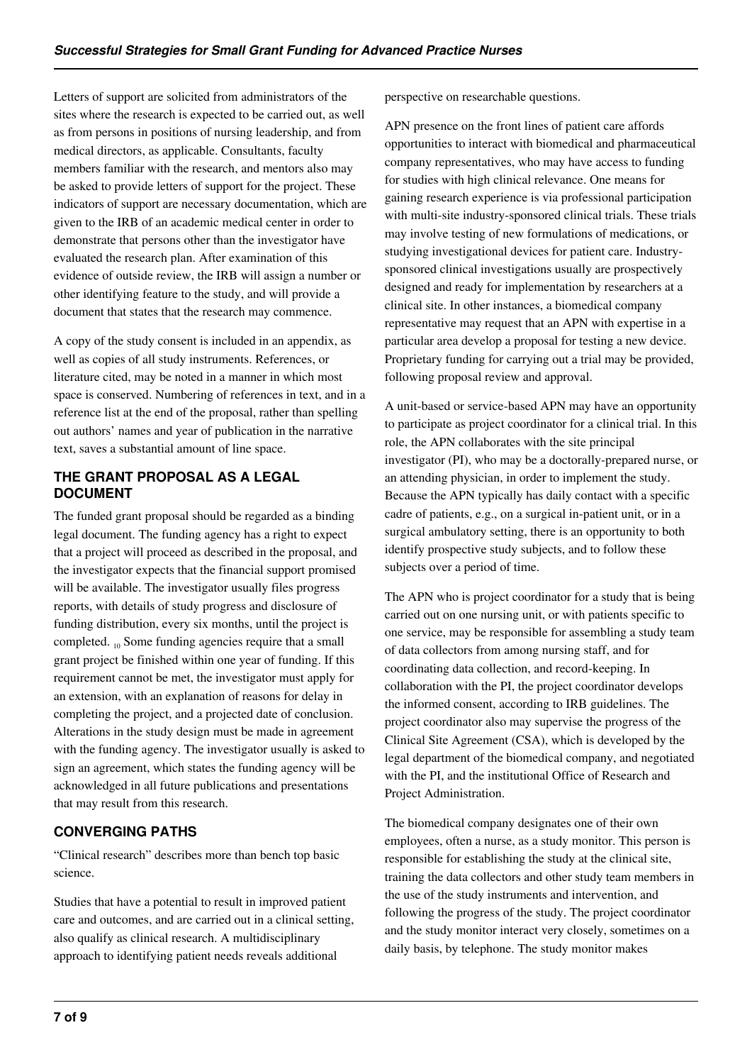Letters of support are solicited from administrators of the sites where the research is expected to be carried out, as well as from persons in positions of nursing leadership, and from medical directors, as applicable. Consultants, faculty members familiar with the research, and mentors also may be asked to provide letters of support for the project. These indicators of support are necessary documentation, which are given to the IRB of an academic medical center in order to demonstrate that persons other than the investigator have evaluated the research plan. After examination of this evidence of outside review, the IRB will assign a number or other identifying feature to the study, and will provide a document that states that the research may commence.

A copy of the study consent is included in an appendix, as well as copies of all study instruments. References, or literature cited, may be noted in a manner in which most space is conserved. Numbering of references in text, and in a reference list at the end of the proposal, rather than spelling out authors' names and year of publication in the narrative text, saves a substantial amount of line space.

# **THE GRANT PROPOSAL AS A LEGAL DOCUMENT**

The funded grant proposal should be regarded as a binding legal document. The funding agency has a right to expect that a project will proceed as described in the proposal, and the investigator expects that the financial support promised will be available. The investigator usually files progress reports, with details of study progress and disclosure of funding distribution, every six months, until the project is completed. <sub>10</sub> Some funding agencies require that a small grant project be finished within one year of funding. If this requirement cannot be met, the investigator must apply for an extension, with an explanation of reasons for delay in completing the project, and a projected date of conclusion. Alterations in the study design must be made in agreement with the funding agency. The investigator usually is asked to sign an agreement, which states the funding agency will be acknowledged in all future publications and presentations that may result from this research.

# **CONVERGING PATHS**

"Clinical research" describes more than bench top basic science.

Studies that have a potential to result in improved patient care and outcomes, and are carried out in a clinical setting, also qualify as clinical research. A multidisciplinary approach to identifying patient needs reveals additional

perspective on researchable questions.

APN presence on the front lines of patient care affords opportunities to interact with biomedical and pharmaceutical company representatives, who may have access to funding for studies with high clinical relevance. One means for gaining research experience is via professional participation with multi-site industry-sponsored clinical trials. These trials may involve testing of new formulations of medications, or studying investigational devices for patient care. Industrysponsored clinical investigations usually are prospectively designed and ready for implementation by researchers at a clinical site. In other instances, a biomedical company representative may request that an APN with expertise in a particular area develop a proposal for testing a new device. Proprietary funding for carrying out a trial may be provided, following proposal review and approval.

A unit-based or service-based APN may have an opportunity to participate as project coordinator for a clinical trial. In this role, the APN collaborates with the site principal investigator (PI), who may be a doctorally-prepared nurse, or an attending physician, in order to implement the study. Because the APN typically has daily contact with a specific cadre of patients, e.g., on a surgical in-patient unit, or in a surgical ambulatory setting, there is an opportunity to both identify prospective study subjects, and to follow these subjects over a period of time.

The APN who is project coordinator for a study that is being carried out on one nursing unit, or with patients specific to one service, may be responsible for assembling a study team of data collectors from among nursing staff, and for coordinating data collection, and record-keeping. In collaboration with the PI, the project coordinator develops the informed consent, according to IRB guidelines. The project coordinator also may supervise the progress of the Clinical Site Agreement (CSA), which is developed by the legal department of the biomedical company, and negotiated with the PI, and the institutional Office of Research and Project Administration.

The biomedical company designates one of their own employees, often a nurse, as a study monitor. This person is responsible for establishing the study at the clinical site, training the data collectors and other study team members in the use of the study instruments and intervention, and following the progress of the study. The project coordinator and the study monitor interact very closely, sometimes on a daily basis, by telephone. The study monitor makes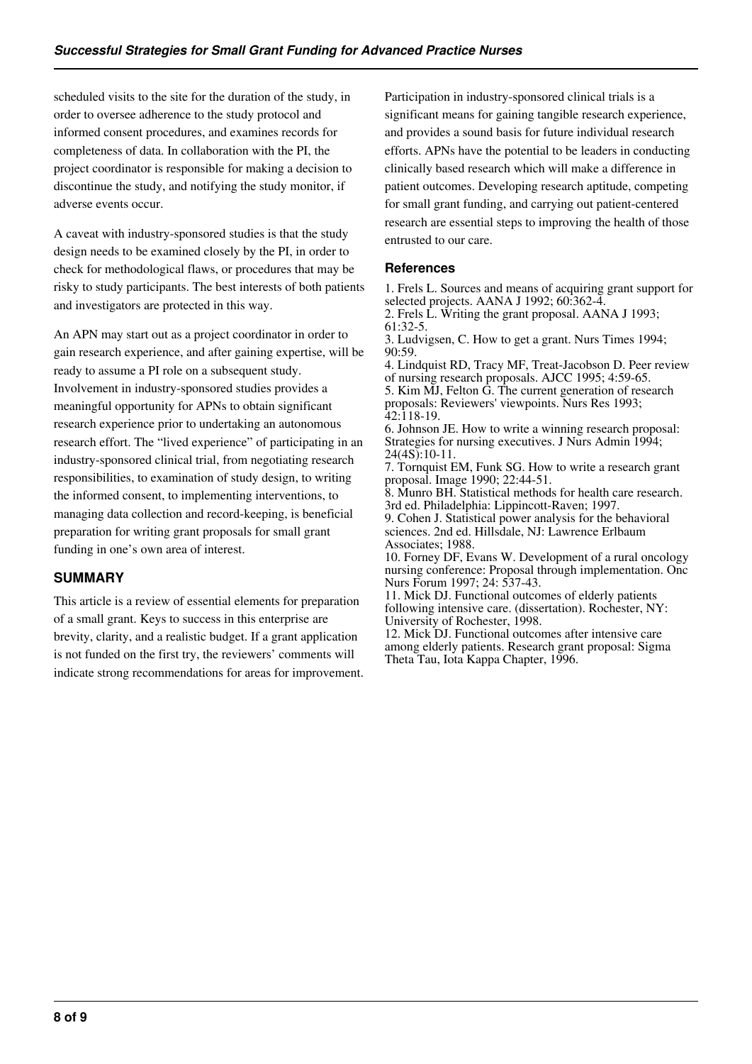scheduled visits to the site for the duration of the study, in order to oversee adherence to the study protocol and informed consent procedures, and examines records for completeness of data. In collaboration with the PI, the project coordinator is responsible for making a decision to discontinue the study, and notifying the study monitor, if adverse events occur.

A caveat with industry-sponsored studies is that the study design needs to be examined closely by the PI, in order to check for methodological flaws, or procedures that may be risky to study participants. The best interests of both patients and investigators are protected in this way.

An APN may start out as a project coordinator in order to gain research experience, and after gaining expertise, will be ready to assume a PI role on a subsequent study. Involvement in industry-sponsored studies provides a meaningful opportunity for APNs to obtain significant research experience prior to undertaking an autonomous research effort. The "lived experience" of participating in an industry-sponsored clinical trial, from negotiating research responsibilities, to examination of study design, to writing the informed consent, to implementing interventions, to managing data collection and record-keeping, is beneficial preparation for writing grant proposals for small grant funding in one's own area of interest.

# **SUMMARY**

This article is a review of essential elements for preparation of a small grant. Keys to success in this enterprise are brevity, clarity, and a realistic budget. If a grant application is not funded on the first try, the reviewers' comments will indicate strong recommendations for areas for improvement. Participation in industry-sponsored clinical trials is a significant means for gaining tangible research experience, and provides a sound basis for future individual research efforts. APNs have the potential to be leaders in conducting clinically based research which will make a difference in patient outcomes. Developing research aptitude, competing for small grant funding, and carrying out patient-centered research are essential steps to improving the health of those entrusted to our care.

#### **References**

1. Frels L. Sources and means of acquiring grant support for selected projects. AANA J 1992; 60:362-4.

2. Frels L. Writing the grant proposal. AANA J 1993; 61:32-5.

3. Ludvigsen, C. How to get a grant. Nurs Times 1994; 90:59.

4. Lindquist RD, Tracy MF, Treat-Jacobson D. Peer review of nursing research proposals. AJCC 1995; 4:59-65.

5. Kim MJ, Felton G. The current generation of research proposals: Reviewers' viewpoints. Nurs Res 1993; 42:118-19.

6. Johnson JE. How to write a winning research proposal: Strategies for nursing executives. J Nurs Admin 1994;  $24(4S)$ :10-11.

7. Tornquist EM, Funk SG. How to write a research grant proposal. Image 1990; 22:44-51.

8. Munro BH. Statistical methods for health care research. 3rd ed. Philadelphia: Lippincott-Raven; 1997.

9. Cohen J. Statistical power analysis for the behavioral sciences. 2nd ed. Hillsdale, NJ: Lawrence Erlbaum Associates; 1988.

10. Forney DF, Evans W. Development of a rural oncology nursing conference: Proposal through implementation. Onc Nurs Forum 1997; 24: 537-43.

11. Mick DJ. Functional outcomes of elderly patients following intensive care. (dissertation). Rochester, NY: University of Rochester, 1998.

12. Mick DJ. Functional outcomes after intensive care among elderly patients. Research grant proposal: Sigma Theta Tau, Iota Kappa Chapter, 1996.